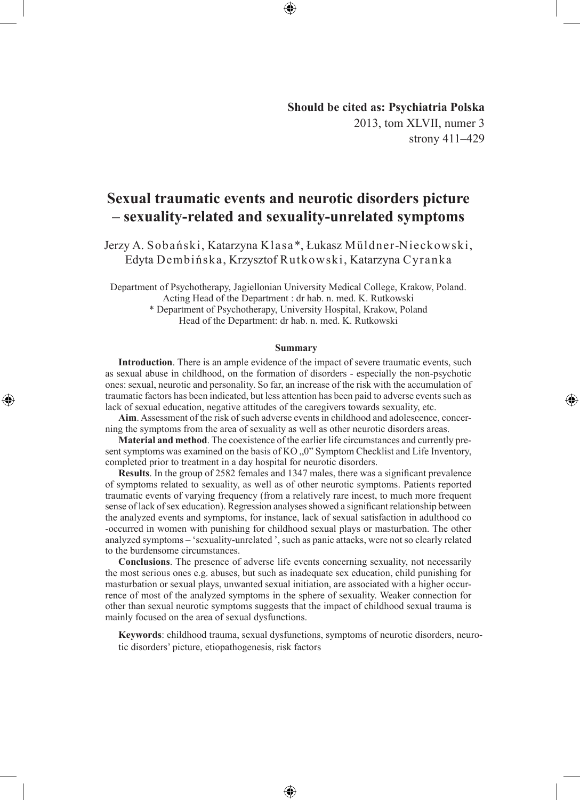# **Should be cited as: Psychiatria Polska** 2013, tom XLVII, numer 3 strony 411–429

◈

# **Sexual traumatic events and neurotic disorders picture – sexuality-related and sexuality-unrelated symptoms**

Jerzy A. Sobański, Katarzyna Klasa\*, Łukasz Müldner-Nieckowski, Edyta Dembińska, Krzysztof Rutkowski, Katarzyna Cyranka

Department of Psychotherapy, Jagiellonian University Medical College, Krakow, Poland. Acting Head of the Department : dr hab. n. med. K. Rutkowski

> \* Department of Psychotherapy, University Hospital, Krakow, Poland Head of the Department: dr hab. n. med. K. Rutkowski

#### **Summary**

**Introduction**. There is an ample evidence of the impact of severe traumatic events, such as sexual abuse in childhood, on the formation of disorders - especially the non-psychotic ones: sexual, neurotic and personality. So far, an increase of the risk with the accumulation of traumatic factors has been indicated, but less attention has been paid to adverse events such as lack of sexual education, negative attitudes of the caregivers towards sexuality, etc.

◈

**Aim**. Assessment of the risk of such adverse events in childhood and adolescence, concerning the symptoms from the area of sexuality as well as other neurotic disorders areas.

**Material and method**. The coexistence of the earlier life circumstances and currently present symptoms was examined on the basis of  $KO, 0$ ,  $0$ " Symptom Checklist and Life Inventory, completed prior to treatment in a day hospital for neurotic disorders.

**Results**. In the group of 2582 females and 1347 males, there was a significant prevalence of symptoms related to sexuality, as well as of other neurotic symptoms. Patients reported traumatic events of varying frequency (from a relatively rare incest, to much more frequent sense of lack of sex education). Regression analyses showed a significant relationship between the analyzed events and symptoms, for instance, lack of sexual satisfaction in adulthood co -occurred in women with punishing for childhood sexual plays or masturbation. The other analyzed symptoms – 'sexuality-unrelated ', such as panic attacks, were not so clearly related to the burdensome circumstances.

**Conclusions**. The presence of adverse life events concerning sexuality, not necessarily the most serious ones e.g. abuses, but such as inadequate sex education, child punishing for masturbation or sexual plays, unwanted sexual initiation, are associated with a higher occurrence of most of the analyzed symptoms in the sphere of sexuality. Weaker connection for other than sexual neurotic symptoms suggests that the impact of childhood sexual trauma is mainly focused on the area of sexual dysfunctions.

**Keywords**: childhood trauma, sexual dysfunctions, symptoms of neurotic disorders, neurotic disorders' picture, etiopathogenesis, risk factors

⊕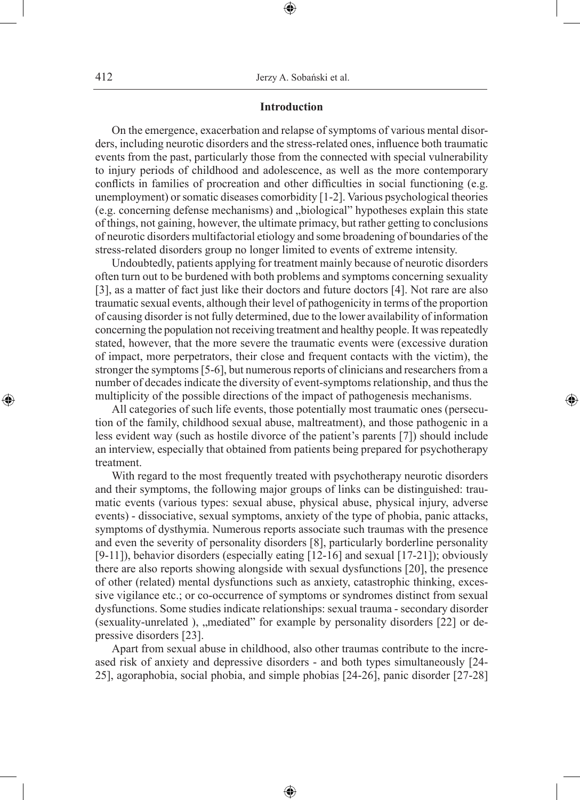### **Introduction**

⊕

On the emergence, exacerbation and relapse of symptoms of various mental disorders, including neurotic disorders and the stress-related ones, influence both traumatic events from the past, particularly those from the connected with special vulnerability to injury periods of childhood and adolescence, as well as the more contemporary conflicts in families of procreation and other difficulties in social functioning (e.g. unemployment) or somatic diseases comorbidity [1-2]. Various psychological theories (e.g. concerning defense mechanisms) and "biological" hypotheses explain this state of things, not gaining, however, the ultimate primacy, but rather getting to conclusions of neurotic disorders multifactorial etiology and some broadening of boundaries of the stress-related disorders group no longer limited to events of extreme intensity.

Undoubtedly, patients applying for treatment mainly because of neurotic disorders often turn out to be burdened with both problems and symptoms concerning sexuality [3], as a matter of fact just like their doctors and future doctors [4]. Not rare are also traumatic sexual events, although their level of pathogenicity in terms of the proportion of causing disorder is not fully determined, due to the lower availability of information concerning the population not receiving treatment and healthy people. It was repeatedly stated, however, that the more severe the traumatic events were (excessive duration of impact, more perpetrators, their close and frequent contacts with the victim), the stronger the symptoms [5-6], but numerous reports of clinicians and researchers from a number of decades indicate the diversity of event-symptoms relationship, and thus the multiplicity of the possible directions of the impact of pathogenesis mechanisms.

All categories of such life events, those potentially most traumatic ones (persecution of the family, childhood sexual abuse, maltreatment), and those pathogenic in a less evident way (such as hostile divorce of the patient's parents [7]) should include an interview, especially that obtained from patients being prepared for psychotherapy treatment.

◈

With regard to the most frequently treated with psychotherapy neurotic disorders and their symptoms, the following major groups of links can be distinguished: traumatic events (various types: sexual abuse, physical abuse, physical injury, adverse events) - dissociative, sexual symptoms, anxiety of the type of phobia, panic attacks, symptoms of dysthymia. Numerous reports associate such traumas with the presence and even the severity of personality disorders [8], particularly borderline personality [9-11]), behavior disorders (especially eating [12-16] and sexual [17-21]); obviously there are also reports showing alongside with sexual dysfunctions [20], the presence of other (related) mental dysfunctions such as anxiety, catastrophic thinking, excessive vigilance etc.; or co-occurrence of symptoms or syndromes distinct from sexual dysfunctions. Some studies indicate relationships: sexual trauma - secondary disorder (sexuality-unrelated),  $\delta$ , mediated" for example by personality disorders [22] or depressive disorders [23].

Apart from sexual abuse in childhood, also other traumas contribute to the increased risk of anxiety and depressive disorders - and both types simultaneously [24- 25], agoraphobia, social phobia, and simple phobias [24-26], panic disorder [27-28]

⊕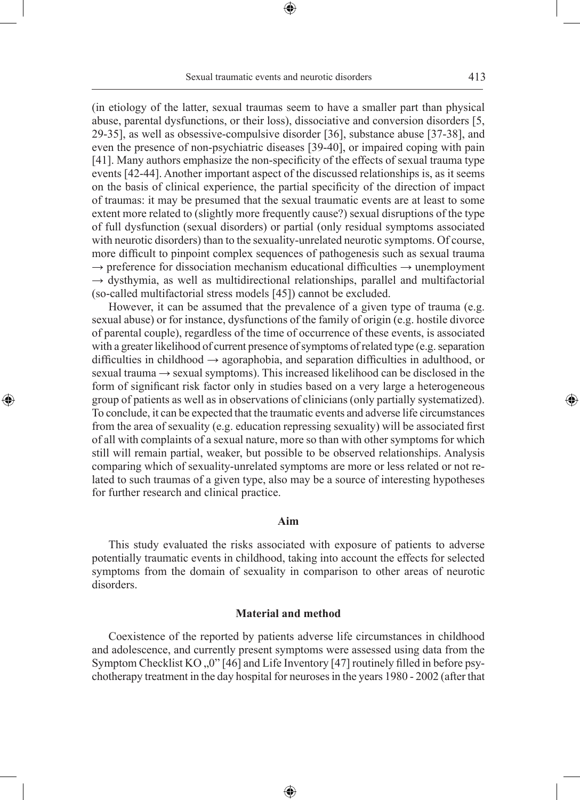(in etiology of the latter, sexual traumas seem to have a smaller part than physical abuse, parental dysfunctions, or their loss), dissociative and conversion disorders [5, 29-35], as well as obsessive-compulsive disorder [36], substance abuse [37-38], and even the presence of non-psychiatric diseases [39-40], or impaired coping with pain [41]. Many authors emphasize the non-specificity of the effects of sexual trauma type events [42-44]. Another important aspect of the discussed relationships is, as it seems on the basis of clinical experience, the partial specificity of the direction of impact of traumas: it may be presumed that the sexual traumatic events are at least to some extent more related to (slightly more frequently cause?) sexual disruptions of the type of full dysfunction (sexual disorders) or partial (only residual symptoms associated with neurotic disorders) than to the sexuality-unrelated neurotic symptoms. Of course, more difficult to pinpoint complex sequences of pathogenesis such as sexual trauma  $\rightarrow$  preference for dissociation mechanism educational difficulties  $\rightarrow$  unemployment  $\rightarrow$  dysthymia, as well as multidirectional relationships, parallel and multifactorial (so-called multifactorial stress models [45]) cannot be excluded.

However, it can be assumed that the prevalence of a given type of trauma (e.g. sexual abuse) or for instance, dysfunctions of the family of origin (e.g. hostile divorce of parental couple), regardless of the time of occurrence of these events, is associated with a greater likelihood of current presence of symptoms of related type (e.g. separation difficulties in childhood → agoraphobia, and separation difficulties in adulthood, or sexual trauma → sexual symptoms). This increased likelihood can be disclosed in the form of significant risk factor only in studies based on a very large a heterogeneous group of patients as well as in observations of clinicians (only partially systematized). To conclude, it can be expected that the traumatic events and adverse life circumstances from the area of sexuality (e.g. education repressing sexuality) will be associated first of all with complaints of a sexual nature, more so than with other symptoms for which still will remain partial, weaker, but possible to be observed relationships. Analysis comparing which of sexuality-unrelated symptoms are more or less related or not related to such traumas of a given type, also may be a source of interesting hypotheses for further research and clinical practice.

◈

### **Aim**

This study evaluated the risks associated with exposure of patients to adverse potentially traumatic events in childhood, taking into account the effects for selected symptoms from the domain of sexuality in comparison to other areas of neurotic disorders.

#### **Material and method**

Coexistence of the reported by patients adverse life circumstances in childhood and adolescence, and currently present symptoms were assessed using data from the Symptom Checklist KO  $,0$ " [46] and Life Inventory [47] routinely filled in before psychotherapy treatment in the day hospital for neuroses in the years 1980 - 2002 (after that

⊕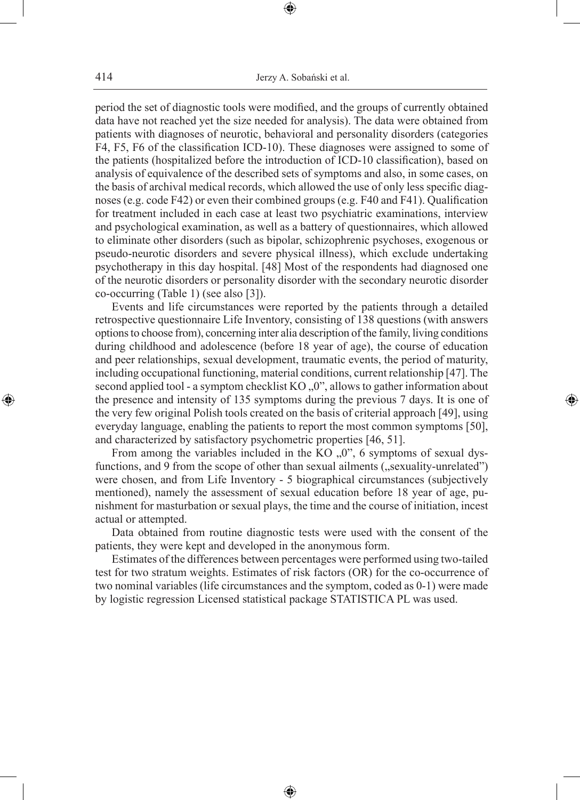period the set of diagnostic tools were modified, and the groups of currently obtained data have not reached yet the size needed for analysis). The data were obtained from patients with diagnoses of neurotic, behavioral and personality disorders (categories F4, F5, F6 of the classification ICD-10). These diagnoses were assigned to some of the patients (hospitalized before the introduction of ICD-10 classification), based on analysis of equivalence of the described sets of symptoms and also, in some cases, on the basis of archival medical records, which allowed the use of only less specific diagnoses (e.g. code F42) or even their combined groups (e.g. F40 and F41). Qualification for treatment included in each case at least two psychiatric examinations, interview and psychological examination, as well as a battery of questionnaires, which allowed to eliminate other disorders (such as bipolar, schizophrenic psychoses, exogenous or pseudo-neurotic disorders and severe physical illness), which exclude undertaking psychotherapy in this day hospital. [48] Most of the respondents had diagnosed one of the neurotic disorders or personality disorder with the secondary neurotic disorder co-occurring (Table 1) (see also [3]).

Events and life circumstances were reported by the patients through a detailed retrospective questionnaire Life Inventory, consisting of 138 questions (with answers options to choose from), concerning inter alia description of the family, living conditions during childhood and adolescence (before 18 year of age), the course of education and peer relationships, sexual development, traumatic events, the period of maturity, including occupational functioning, material conditions, current relationship [47]. The second applied tool - a symptom checklist  $KO, 0$ ", allows to gather information about the presence and intensity of 135 symptoms during the previous 7 days. It is one of the very few original Polish tools created on the basis of criterial approach [49], using everyday language, enabling the patients to report the most common symptoms [50], and characterized by satisfactory psychometric properties [46, 51].

◈

From among the variables included in the KO  $,0$ ", 6 symptoms of sexual dysfunctions, and 9 from the scope of other than sexual ailments ("sexuality-unrelated") were chosen, and from Life Inventory - 5 biographical circumstances (subjectively mentioned), namely the assessment of sexual education before 18 year of age, punishment for masturbation or sexual plays, the time and the course of initiation, incest actual or attempted.

Data obtained from routine diagnostic tests were used with the consent of the patients, they were kept and developed in the anonymous form.

Estimates of the differences between percentages were performed using two-tailed test for two stratum weights. Estimates of risk factors (OR) for the co-occurrence of two nominal variables (life circumstances and the symptom, coded as 0-1) were made by logistic regression Licensed statistical package STATISTICA PL was used.

⊕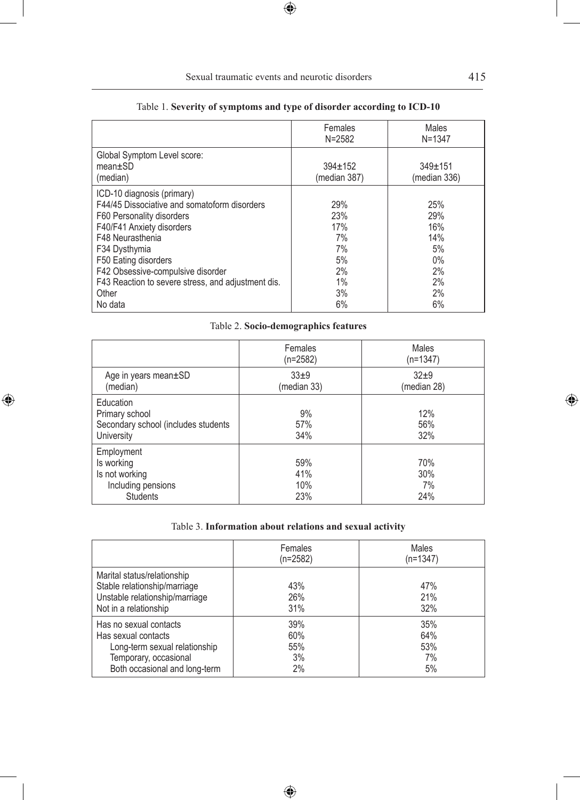| Females       | Males         |
|---------------|---------------|
| $N = 2582$    | $N = 1347$    |
| $394 \pm 152$ | $349 \pm 151$ |
| (median 387)  | (median 336)  |
| 29%           | 25%           |
| 23%           | 29%           |
| 17%           | 16%           |
| 7%            | 14%           |
| 7%            | 5%            |
| 5%            | $0\%$         |
| 2%            | 2%            |
| 1%            | 2%            |
| 3%            | 2%            |
|               | 6%            |

# Table 1. **Severity of symptoms and type of disorder according to ICD-10**

 $\bigoplus$ 

# Table 2. **Socio-demographics features**

|                                                                                     | Females<br>(n=2582)      | Males<br>$(n=1347)$     |
|-------------------------------------------------------------------------------------|--------------------------|-------------------------|
| Age in years mean±SD<br>(median)                                                    | $33+9$<br>(median 33)    | $32+9$<br>(median 28)   |
| Education<br>Primary school<br>Secondary school (includes students<br>University    | 9%<br>57%<br>34%         | 12%<br>56%<br>32%       |
| Employment<br>Is working<br>Is not working<br>Including pensions<br><b>Students</b> | 59%<br>41%<br>10%<br>23% | 70%<br>30%<br>7%<br>24% |

 $\bigoplus$ 

# Table 3. **Information about relations and sexual activity**

|                                                                                                                                          | Females<br>$(n=2582)$         | Males<br>$(n=1347)$           |
|------------------------------------------------------------------------------------------------------------------------------------------|-------------------------------|-------------------------------|
| Marital status/relationship<br>Stable relationship/marriage<br>Unstable relationship/marriage<br>Not in a relationship                   | 43%<br>26%<br>31%             | 47%<br>21%<br>32%             |
| Has no sexual contacts<br>Has sexual contacts<br>Long-term sexual relationship<br>Temporary, occasional<br>Both occasional and long-term | 39%<br>60%<br>55%<br>3%<br>2% | 35%<br>64%<br>53%<br>7%<br>5% |

 $\bigoplus$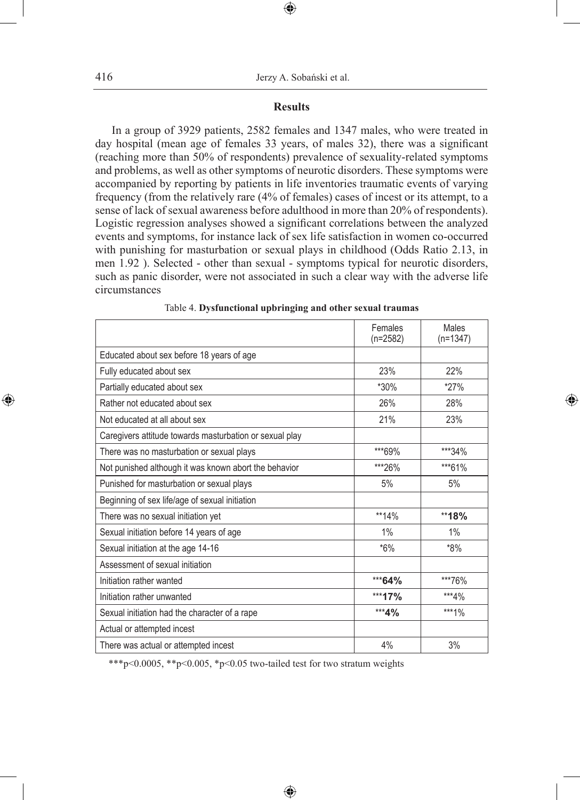### **Results**

 $\bigoplus$ 

In a group of 3929 patients, 2582 females and 1347 males, who were treated in day hospital (mean age of females 33 years, of males 32), there was a significant (reaching more than 50% of respondents) prevalence of sexuality-related symptoms and problems, as well as other symptoms of neurotic disorders. These symptoms were accompanied by reporting by patients in life inventories traumatic events of varying frequency (from the relatively rare (4% of females) cases of incest or its attempt, to a sense of lack of sexual awareness before adulthood in more than 20% of respondents). Logistic regression analyses showed a significant correlations between the analyzed events and symptoms, for instance lack of sex life satisfaction in women co-occurred with punishing for masturbation or sexual plays in childhood (Odds Ratio 2.13, in men 1.92 ). Selected - other than sexual - symptoms typical for neurotic disorders, such as panic disorder, were not associated in such a clear way with the adverse life circumstances

|                                                         | Females<br>$(n=2582)$ | Males<br>$(n=1347)$ |
|---------------------------------------------------------|-----------------------|---------------------|
| Educated about sex before 18 years of age               |                       |                     |
| Fully educated about sex                                | 23%                   | 22%                 |
| Partially educated about sex                            | $*30\%$               | $*27%$              |
| Rather not educated about sex                           | 26%                   | 28%                 |
| Not educated at all about sex                           | 21%                   | 23%                 |
| Caregivers attitude towards masturbation or sexual play |                       |                     |
| There was no masturbation or sexual plays               | ***69%                | ***34%              |
| Not punished although it was known abort the behavior   | ***26%                | ***61%              |
| Punished for masturbation or sexual plays               | 5%                    | 5%                  |
| Beginning of sex life/age of sexual initiation          |                       |                     |
| There was no sexual initiation yet                      | **14%                 | **18%               |
| Sexual initiation before 14 years of age                | 1%                    | 1%                  |
| Sexual initiation at the age 14-16                      | $*6\%$                | $*8\%$              |
| Assessment of sexual initiation                         |                       |                     |
| Initiation rather wanted                                | ***64%                | ***76%              |
| Initiation rather unwanted                              | *** 17%               | ***4%               |
| Sexual initiation had the character of a rape           | *** 4%                | ***1%               |
| Actual or attempted incest                              |                       |                     |
| There was actual or attempted incest                    | 4%                    | 3%                  |

| Table 4. Dysfunctional upbringing and other sexual traumas |  |  |  |
|------------------------------------------------------------|--|--|--|
|------------------------------------------------------------|--|--|--|

◈

\*\*\*p<0.0005, \*\*p<0.005, \*p<0.05 two-tailed test for two stratum weights

⊕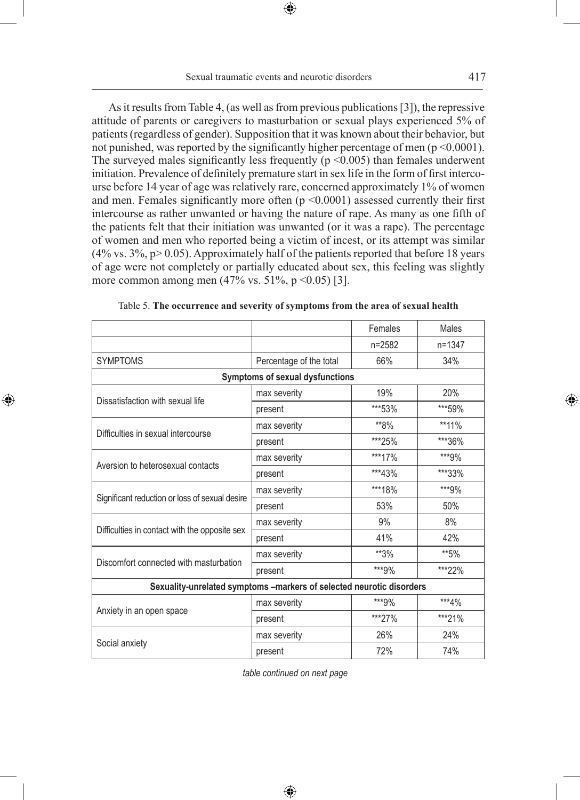As it results from Table 4, (as well as from previous publications [3]), the repressive attitude of parents or caregivers to masturbation or sexual plays experienced 5% of patients (regardless of gender). Supposition that it was known about their behavior, but not punished, was reported by the significantly higher percentage of men  $(p \le 0.0001)$ . The surveyed males significantly less frequently ( $p \le 0.005$ ) than females underwent initiation. Prevalence of definitely premature start in sex life in the form of first intercourse before 14 year of age was relatively rare, concerned approximately 1% of women and men. Females significantly more often (p <0.0001) assessed currently their first intercourse as rather unwanted or having the nature of rape. As many as one fifth of the patients felt that their initiation was unwanted (or it was a rape). The percentage of women and men who reported being a victim of incest, or its attempt was similar  $(4\% \text{ vs. } 3\%, \text{ p} > 0.05)$ . Approximately half of the patients reported that before 18 years of age were not completely or partially educated about sex, this feeling was slightly more common among men  $(47\% \text{ vs. } 51\%, \text{ p} < 0.05)$  [3].

|                                                |                                                                      | Females | Males   |  |  |  |  |  |
|------------------------------------------------|----------------------------------------------------------------------|---------|---------|--|--|--|--|--|
|                                                |                                                                      | n=2582  | n=1347  |  |  |  |  |  |
| <b>SYMPTOMS</b>                                | Percentage of the total                                              | 66%     | 34%     |  |  |  |  |  |
|                                                | Symptoms of sexual dysfunctions                                      |         |         |  |  |  |  |  |
| Dissatisfaction with sexual life               | max severity                                                         | 19%     | 20%     |  |  |  |  |  |
|                                                | present                                                              | ***53%  | ***59%  |  |  |  |  |  |
| Difficulties in sexual intercourse             | max severity                                                         | **8%    | $**11%$ |  |  |  |  |  |
|                                                | present                                                              | ***25%  | ***36%  |  |  |  |  |  |
| Aversion to heterosexual contacts              | max severity                                                         | ***17%  | ***9%   |  |  |  |  |  |
|                                                | present                                                              | ***43%  | ***33%  |  |  |  |  |  |
|                                                | max severity                                                         | ***18%  | ***9%   |  |  |  |  |  |
| Significant reduction or loss of sexual desire | present                                                              | 53%     | 50%     |  |  |  |  |  |
|                                                | max severity                                                         | 9%      | 8%      |  |  |  |  |  |
| Difficulties in contact with the opposite sex  | present                                                              | 41%     | 42%     |  |  |  |  |  |
| Discomfort connected with masturbation         | max severity                                                         | **3%    | **5%    |  |  |  |  |  |
|                                                | present                                                              | ***9%   | ***22%  |  |  |  |  |  |
|                                                | Sexuality-unrelated symptoms -markers of selected neurotic disorders |         |         |  |  |  |  |  |
|                                                | max severity                                                         | ***9%   | ***4%   |  |  |  |  |  |
| Anxiety in an open space                       | present                                                              | ***27%  | ***21%  |  |  |  |  |  |
|                                                | max severity                                                         | 26%     | 24%     |  |  |  |  |  |
| Social anxiety                                 | present                                                              | 72%     | 74%     |  |  |  |  |  |

◈

|  | Table 5. The occurrence and severity of symptoms from the area of sexual health |  |  |  |  |  |
|--|---------------------------------------------------------------------------------|--|--|--|--|--|
|--|---------------------------------------------------------------------------------|--|--|--|--|--|

*table continued on next page*

♠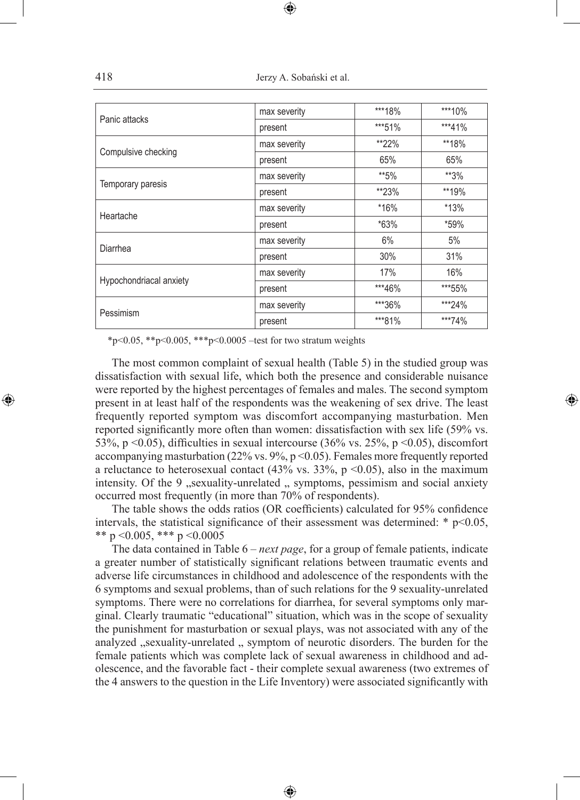| Panic attacks           | max severity | ***18% | ***10%   |
|-------------------------|--------------|--------|----------|
|                         | present      | ***51% | $***41%$ |
|                         | max severity | **22%  | **18%    |
| Compulsive checking     | present      | 65%    | 65%      |
|                         | max severity | **5%   | **3%     |
| Temporary paresis       | present      | **23%  | **19%    |
|                         | max severity | *16%   | $*13%$   |
| Heartache               | present      | $*63%$ | *59%     |
|                         | max severity | 6%     | 5%       |
| Diarrhea                | present      | 30%    | 31%      |
|                         | max severity | 17%    | 16%      |
| Hypochondriacal anxiety | present      | ***46% | ***55%   |
|                         | max severity | ***36% | ***24%   |
| Pessimism               | present      | ***81% | ***74%   |
|                         |              |        |          |

\*p<0.05, \*\*p<0.005, \*\*\*p<0.0005 –test for two stratum weights

The most common complaint of sexual health (Table 5) in the studied group was dissatisfaction with sexual life, which both the presence and considerable nuisance were reported by the highest percentages of females and males. The second symptom present in at least half of the respondents was the weakening of sex drive. The least frequently reported symptom was discomfort accompanying masturbation. Men reported significantly more often than women: dissatisfaction with sex life (59% vs. 53%, p <0.05), difficulties in sexual intercourse (36% vs. 25%, p <0.05), discomfort accompanying masturbation (22% vs. 9%, p <0.05). Females more frequently reported a reluctance to heterosexual contact  $(43\%$  vs.  $33\%$ , p <0.05), also in the maximum intensity. Of the 9 "sexuality-unrelated " symptoms, pessimism and social anxiety occurred most frequently (in more than 70% of respondents).

◈

The table shows the odds ratios (OR coefficients) calculated for 95% confidence intervals, the statistical significance of their assessment was determined:  $* p<0.05$ , \*\* p < 0.005, \*\*\* p < 0.0005

The data contained in Table 6 – *next page*, for a group of female patients, indicate a greater number of statistically significant relations between traumatic events and adverse life circumstances in childhood and adolescence of the respondents with the 6 symptoms and sexual problems, than of such relations for the 9 sexuality-unrelated symptoms. There were no correlations for diarrhea, for several symptoms only marginal. Clearly traumatic "educational" situation, which was in the scope of sexuality the punishment for masturbation or sexual plays, was not associated with any of the analyzed "sexuality-unrelated " symptom of neurotic disorders. The burden for the female patients which was complete lack of sexual awareness in childhood and adolescence, and the favorable fact - their complete sexual awareness (two extremes of the 4 answers to the question in the Life Inventory) were associated significantly with

♠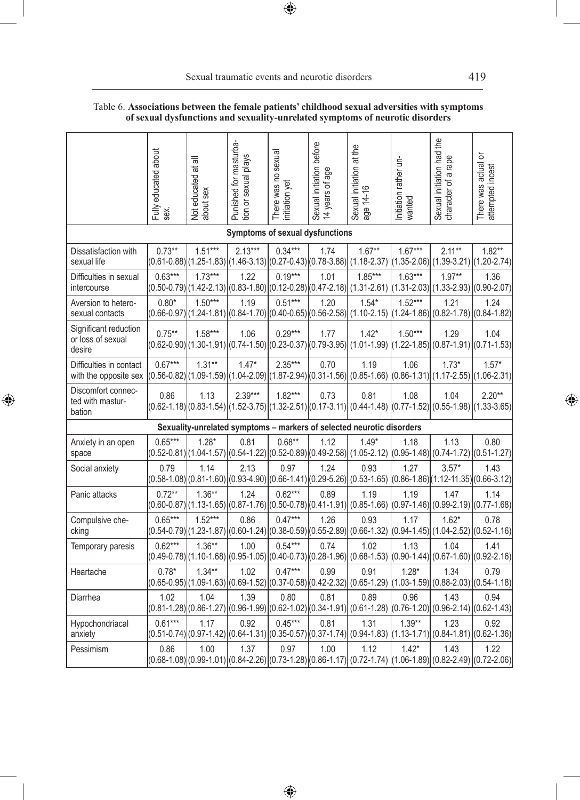### Table 6. **Associations between the female patients' childhood sexual adversities with symptoms of sexual dysfunctions and sexuality-unrelated symptoms of neurotic disorders**

 $\bigoplus$ 

|                                                      | Fully educated about<br>sex. | ᇹ<br>Not educated at<br>about sex | Punished for masturba-<br>tion or sexual plays                                        | There was no sexual<br>initiation yet | Sexual initiation before<br>14 years of age | Sexual initiation at the<br>age 14-16                                                                                         | Initiation rather un-<br>wanted | Sexual initiation had the<br>character of a rape                | There was actual or<br>attempted incest |
|------------------------------------------------------|------------------------------|-----------------------------------|---------------------------------------------------------------------------------------|---------------------------------------|---------------------------------------------|-------------------------------------------------------------------------------------------------------------------------------|---------------------------------|-----------------------------------------------------------------|-----------------------------------------|
|                                                      |                              |                                   | Symptoms of sexual dysfunctions                                                       |                                       |                                             |                                                                                                                               |                                 |                                                                 |                                         |
| Dissatisfaction with<br>sexual life                  | $0.73**$                     | $1.51***$                         | $2.13***$<br>(0.61-0.88) (1.25-1.83) (1.46-3.13) (0.27-0.43) (0.78-3.88)  (1.18-2.37) | $0.34***$                             | 1.74                                        | $1.67**$                                                                                                                      | $1.67***$                       | $2.11**$<br>$(1.35 - 2.06) (1.39 - 3.21)$                       | $1.82**$<br>$(1.20 - 2.74)$             |
| Difficulties in sexual<br>intercourse                | $0.63***$                    | $1.73***$                         | 1.22                                                                                  | $0.19***$                             | 1.01                                        | $1.85***$<br>(0.50-0.79) (1.42-2.13) (0.83-1.80) (0.12-0.28) (0.47-2.18)  (1.31-2.61)  (1.31-2.03)  (1.33-2.93)  (0.90-2.07)  | $1.63***$                       | $1.97**$                                                        | 1.36                                    |
| Aversion to hetero-<br>sexual contacts               | $0.80*$                      | $1.50***$                         | 1.19                                                                                  | $0.51***$                             | 1.20                                        | $1.54*$<br>$(0.66-0.97)(1.24-1.81)(0.84-1.70)(0.40-0.65)(0.56-2.58)(1.10-2.15)(1.24-1.86)(0.82-1.78)$                         | $1.52***$                       | 1.21                                                            | 1.24<br>$(0.84 - 1.82)$                 |
| Significant reduction<br>or loss of sexual<br>desire | $0.75***$                    | $1.58***$                         | 1.06                                                                                  | $0.29***$                             | 1.77                                        | $1.42*$<br>(0.62-0.90) (1.30-1.91) (0.74-1.50) (0.23-0.37) (0.79-3.95)  (1.01-1.99)  (1.22-1.85)  (0.87-1.91)  (0.71-1.53)    | $1.50***$                       | 1.29                                                            | 1.04                                    |
| Difficulties in contact<br>with the opposite sex     | $0.67***$                    | $1.31***$                         | $1.47*$                                                                               | $2.35***$                             | 0.70                                        | 1.19<br>(0.56-0.82) (1.09-1.59) (1.04-2.09) (1.87-2.94) (0.31-1.56) (0.85-1.66) (0.86-1.31) (1.17-2.55) (1.06-2.31)           | 1.06                            | $1.73*$                                                         | $1.57*$                                 |
| Discomfort connec-<br>ted with mastur-<br>bation     | 0.86                         | 1.13                              | $2.39***$                                                                             | $1.82***$                             | 0.73                                        | 0.81<br>(0.62-1.18) (0.83-1.54) (1.52-3.75) (1.32-2.51) (0.17-3.11) (0.44-1.48) (0.77-1.52) (0.55-1.98) (1.33-3.65)           | 1.08                            | 1.04                                                            | $2.20**$                                |
|                                                      |                              |                                   |                                                                                       |                                       |                                             | Sexuality-unrelated symptoms - markers of selected neurotic disorders                                                         |                                 |                                                                 |                                         |
| Anxiety in an open<br>space                          | $0.65***$                    | $1.28*$                           | 0.81                                                                                  | $0.68**$                              | 1.12                                        | $1.49*$<br>(1.04-1.77) (1.04-1.57) (0.54-1.22) (0.52-0.89) (0.49-2.58) (1.05-2.12) (0.95-1.48) (0.74-1.72) (0.51-1.27)        | 1.18                            | 1.13                                                            | 0.80                                    |
| Social anxiety                                       | 0.79                         | 1.14                              | 2.13                                                                                  | 0.97                                  | 1.24                                        | 0.93<br>(0.58-1.08) (0.81-1.60) (0.93-4.90) (0.66-1.41) (0.29-5.26)  (0.53-1.65)  (0.86-1.86) (1.12-11.35) (0.66-3.12)        | 1.27                            | $3.57*$                                                         | 1.43                                    |
| Panic attacks                                        | $0.72**$                     | $1.36**$                          | 1.24                                                                                  | $0.62***$                             | 0.89                                        | 1.19<br>(0.60-0.87) (1.13-1.65) (0.87-1.76) (0.50-0.78) (0.41-1.91)  (0.85-1.66)  (0.97-1.46)  (0.99-2.19)  (0.77-1.68)       | 1.19                            | 1.47                                                            | 1.14                                    |
| Compulsive che-<br>cking                             | $0.65***$                    | $1.52***$                         | 0.86                                                                                  | $0.47***$                             | 1.26                                        | 0.93<br>(0.54-0.79) (1.23-1.87) (0.60-1.24) (0.38-0.59) (0.55-2.89)  (0.66-1.32)  (0.94-1.45)  (1.04-2.52)  (0.52-1.16)       | 1.17                            | $1.62*$                                                         | 0.78                                    |
| Temporary paresis                                    | $0.62***$                    | $1.36**$                          | 1.00                                                                                  | $0.54***$                             | 0.74                                        | 1.02<br>(0.49-0.78) (1.10-1.68) (0.95-1.05) (0.40-0.73) (0.28-1.96)  (0.68-1.53)  (0.90-1.44)  (0.67-1.60)                    | 1.13                            | 1.04                                                            | 1.41<br>$(0.92 - 2.16)$                 |
| Heartache                                            | $0.78*$                      | $1.34**$                          | 1.02<br>(0.65-0.95) (1.09-1.63) (0.69-1.52) (0.37-0.58) (0.42-2.32)                   | $0.47***$                             | 0.99                                        | 0.91                                                                                                                          | $1.28*$                         | 1.34<br>$(0.65-1.29)$ $(1.03-1.59)$ $(0.88-2.03)$ $(0.54-1.18)$ | 0.79                                    |
| Diarrhea                                             | 1.02                         | 1.04                              | 1.39                                                                                  | 0.80                                  | 0.81                                        | 0.89<br>(0.81-1.28) (0.86-1.27) (0.96-1.99) (0.62-1.02) (0.34-1.91) (0.61-1.28) (0.76-1.20) (0.96-2.14) (0.62-1.43)           | 0.96                            | 1.43                                                            | 0.94                                    |
| Hypochondriacal<br>anxiety                           | $0.61***$                    | 1.17                              | 0.92                                                                                  | $0.45***$                             | 0.81                                        | 1.31<br>(0.51-0.74) (0.97-1.42) (0.64-1.31) (0.35-0.57) (0.37-1.74)  (0.94-1.83)  (1.13-1.71)  (0.84-1.81)  (0.62-1.36)       | $1.39**$                        | 1.23                                                            | 0.92                                    |
| Pessimism                                            | 0.86                         | 1.00                              | 1.37                                                                                  | 0.97                                  | 1.00                                        | 1.12<br>(0.68-1.08) (0.99-1.01) $ (0.84-2.26)  (0.73-1.28)  (0.86-1.17)  (0.72-1.74)  (1.06-1.89)  (0.82-2.49)  (0.72-2.06) $ | $1.42*$                         | 1.43                                                            | 1.22                                    |

 $\bigoplus$ 

 $\bigoplus$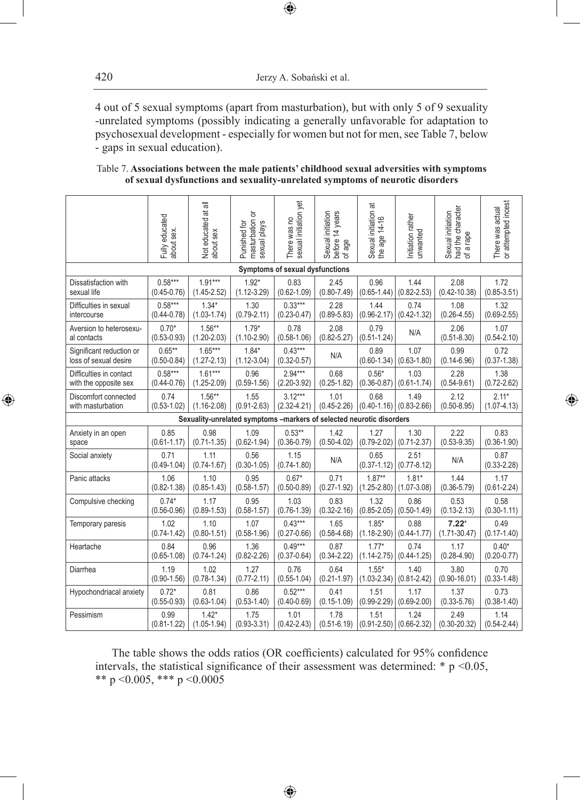4 out of 5 sexual symptoms (apart from masturbation), but with only 5 of 9 sexuality -unrelated symptoms (possibly indicating a generally unfavorable for adaptation to psychosexual development - especially for women but not for men, see Table 7, below - gaps in sexual education).

 $\bigoplus$ 

| Table 7. Associations between the male patients' childhood sexual adversities with symptoms |                                                                               |  |
|---------------------------------------------------------------------------------------------|-------------------------------------------------------------------------------|--|
|                                                                                             | of sexual dysfunctions and sexuality-unrelated symptoms of neurotic disorders |  |

|                          | Fully educated<br>about sex. | Not educated at all<br>about sex | masturbation or<br>sexual plays<br>Punished for                      | There was no<br>sexual initiation yet | Sexual initiation<br>before 14 years<br>of age | $\overline{\overline{a}}$<br>Sexual initiation a<br>the age 14-16 | Initiation rather<br>unwanted | Sexual initiation<br>had the character<br>of a rape | There was actual<br>or attempted incest |
|--------------------------|------------------------------|----------------------------------|----------------------------------------------------------------------|---------------------------------------|------------------------------------------------|-------------------------------------------------------------------|-------------------------------|-----------------------------------------------------|-----------------------------------------|
|                          |                              |                                  |                                                                      | Symptoms of sexual dysfunctions       |                                                |                                                                   |                               |                                                     |                                         |
| Dissatisfaction with     | $0.58***$                    | $1.91***$                        | $1.92*$                                                              | 0.83                                  | 2.45                                           | 0.96                                                              | 1.44                          | 2.08                                                | 1.72                                    |
| sexual life              | $(0.45 - 0.76)$              | $(1.45 - 2.52)$                  | $(1.12 - 3.29)$                                                      | $(0.62 - 1.09)$                       | $(0.80 - 7.49)$                                | $(0.65 - 1.44)$                                                   | $(0.82 - 2.53)$               | $(0.42 - 10.38)$                                    | $(0.85 - 3.51)$                         |
| Difficulties in sexual   | $0.58***$                    | $1.34*$                          | 1.30                                                                 | $0.33***$                             | 2.28                                           | 1.44                                                              | 0.74                          | 1.08                                                | 1.32                                    |
| intercourse              | $(0.44 - 0.78)$              | $(1.03 - 1.74)$                  | $(0.79 - 2.11)$                                                      | $(0.23 - 0.47)$                       | $(0.89 - 5.83)$                                | $(0.96 - 2.17)$                                                   | $(0.42 - 1.32)$               | $(0.26 - 4.55)$                                     | $(0.69 - 2.55)$                         |
| Aversion to heterosexu-  | $0.70*$                      | $1.56***$                        | $1.79*$                                                              | 0.78                                  | 2.08                                           | 0.79                                                              | N/A                           | 2.06                                                | 1.07                                    |
| al contacts              | $(0.53 - 0.93)$              | $(1.20 - 2.03)$                  | $(1.10 - 2.90)$                                                      | $(0.58 - 1.06)$                       | $(0.82 - 5.27)$                                | $(0.51 - 1.24)$                                                   |                               | $(0.51 - 8.30)$                                     | $(0.54 - 2.10)$                         |
| Significant reduction or | $0.65**$                     | $1.65***$                        | $1.84*$                                                              | $0.43***$                             | N/A                                            | 0.89                                                              | 1.07                          | 0.99                                                | 0.72                                    |
| loss of sexual desire    | $(0.50 - 0.84)$              | $(1.27 - 2.13)$                  | $(1.12 - 3.04)$                                                      | $(0.32 - 0.57)$                       |                                                | $(0.60 - 1.34)$                                                   | $(0.63 - 1.80)$               | $(0.14 - 6.96)$                                     | $(0.37 - 1.38)$                         |
| Difficulties in contact  | $0.58***$                    | $1.61***$                        | 0.96                                                                 | $2.94***$                             | 0.68                                           | $0.56*$                                                           | 1.03                          | 2.28                                                | 1.38                                    |
| with the opposite sex    | $(0.44 - 0.76)$              | $(1.25 - 2.09)$                  | $(0.59 - 1.56)$                                                      | $(2.20-3.92)$                         | $(0.25 - 1.82)$                                | $(0.36 - 0.87)$                                                   | $(0.61 - 1.74)$               | $(0.54 - 9.61)$                                     | $(0.72 - 2.62)$                         |
| Discomfort connected     | 0.74                         | $1.56**$                         | 1.55                                                                 | $3.12***$                             | 1.01                                           | 0.68                                                              | 1.49                          | 2.12                                                | $2.11*$                                 |
| with masturbation        | $(0.53 - 1.02)$              | $(1.16 - 2.08)$                  | $(0.91 - 2.63)$                                                      | $(2.32 - 4.21)$                       | $(0.45 - 2.26)$                                | $(0.40 - 1.16)$                                                   | $(0.83 - 2.66)$               | $(0.50 - 8.95)$                                     | $(1.07 - 4.13)$                         |
|                          |                              |                                  | Sexuality-unrelated symptoms -markers of selected neurotic disorders |                                       |                                                |                                                                   |                               |                                                     |                                         |
| Anxiety in an open       | 0.85                         | 0.98                             | 1.09                                                                 | $0.53**$                              | 1.42                                           | 1.27                                                              | 1.30                          | 2.22                                                | 0.83                                    |
| space                    | $(0.61 - 1.17)$              | $(0.71 - 1.35)$                  | $(0.62 - 1.94)$                                                      | $(0.36 - 0.79)$                       | $(0.50 - 4.02)$                                | $(0.79 - 2.02)$                                                   | $(0.71 - 2.37)$               | $(0.53 - 9.35)$                                     | $(0.36 - 1.90)$                         |
| Social anxiety           | 0.71<br>$(0.49 - 1.04)$      | 1.11<br>$(0.74 - 1.67)$          | 0.56<br>$(0.30 - 1.05)$                                              | 1.15<br>$(0.74 - 1.80)$               | N/A                                            | 0.65<br>$(0.37 - 1.12)$                                           | 2.51<br>$(0.77 - 8.12)$       | N/A                                                 | 0.87<br>$(0.33 - 2.28)$                 |
| Panic attacks            | 1.06                         | 1.10                             | 0.95                                                                 | $0.67*$                               | 0.71                                           | $1.87**$                                                          | $1.81*$                       | 1.44                                                | 1.17                                    |
|                          | $(0.82 - 1.38)$              | $(0.85 - 1.43)$                  | $(0.58 - 1.57)$                                                      | $(0.50 - 0.89)$                       | $(0.27 - 1.92)$                                | $(1.25 - 2.80)$                                                   | $(1.07 - 3.08)$               | $(0.36 - 5.79)$                                     | $(0.61 - 2.24)$                         |
| Compulsive checking      | $0.74*$                      | 1.17                             | 0.95                                                                 | 1.03                                  | 0.83                                           | 1.32                                                              | 0.86                          | 0.53                                                | 0.58                                    |
|                          | $(0.56 - 0.96)$              | $(0.89 - 1.53)$                  | $(0.58 - 1.57)$                                                      | $(0.76 - 1.39)$                       | $(0.32 - 2.16)$                                | $(0.85 - 2.05)$                                                   | $(0.50 - 1.49)$               | $(0.13 - 2.13)$                                     | $(0.30 - 1.11)$                         |
| Temporary paresis        | 1.02                         | 1.10                             | 1.07                                                                 | $0.43***$                             | 1.65                                           | $1.85*$                                                           | 0.88                          | $7.22*$                                             | 0.49                                    |
|                          | $(0.74 - 1.42)$              | $(0.80 - 1.51)$                  | $(0.58 - 1.96)$                                                      | $(0.27 - 0.66)$                       | $(0.58 - 4.68)$                                | $(1.18 - 2.90)$                                                   | $(0.44 - 1.77)$               | $(1.71 - 30.47)$                                    | $(0.17 - 1.40)$                         |
| Heartache                | 0.84                         | 0.96                             | 1.36                                                                 | $0.49***$                             | 0.87                                           | $1.77*$                                                           | 0.74                          | 1.17                                                | $0.40*$                                 |
|                          | $(0.65 - 1.08)$              | $(0.74 - 1.24)$                  | $(0.82 - 2.26)$                                                      | $(0.37 - 0.64)$                       | $(0.34 - 2.22)$                                | $(1.14 - 2.75)$                                                   | $(0.44 - 1.25)$               | $(0.28 - 4.90)$                                     | $(0.20 - 0.77)$                         |
| Diarrhea                 | 1.19                         | 1.02                             | 1.27                                                                 | 0.76                                  | 0.64                                           | $1.55*$                                                           | 1.40                          | 3.80                                                | 0.70                                    |
|                          | $(0.90 - 1.56)$              | $(0.78 - 1.34)$                  | $(0.77 - 2.11)$                                                      | $(0.55 - 1.04)$                       | $(0.21 - 1.97)$                                | $(1.03 - 2.34)$                                                   | $(0.81 - 2.42)$               | $(0.90 - 16.01)$                                    | $(0.33 - 1.48)$                         |
| Hypochondriacal anxiety  | $0.72*$                      | 0.81                             | 0.86                                                                 | $0.52***$                             | 0.41                                           | 1.51                                                              | 1.17                          | 1.37                                                | 0.73                                    |
|                          | $(0.55 - 0.93)$              | $(0.63 - 1.04)$                  | $(0.53 - 1.40)$                                                      | $(0.40 - 0.69)$                       | $(0.15 - 1.09)$                                | $(0.99 - 2.29)$                                                   | $(0.69 - 2.00)$               | $(0.33 - 5.76)$                                     | $(0.38 - 1.40)$                         |
| Pessimism                | 0.99<br>$(0.81 - 1.22)$      | $1.42*$<br>$(1.05 - 1.94)$       | 1.75<br>$(0.93 - 3.31)$                                              | 1.01<br>$(0.42 - 2.43)$               | 1.78<br>$(0.51 - 6.19)$                        | 1.51<br>$ (0.91 - 2.50)  (0.66 - 2.32) $                          | 1.24                          | 2.49<br>$(0.30 - 20.32)$                            | 1.14<br>$(0.54 - 2.44)$                 |

 $\bigoplus$ 

The table shows the odds ratios (OR coefficients) calculated for 95% confidence intervals, the statistical significance of their assessment was determined:  $* p \le 0.05$ , \*\* p < 0.005, \*\*\* p < 0.0005

 $\bigoplus$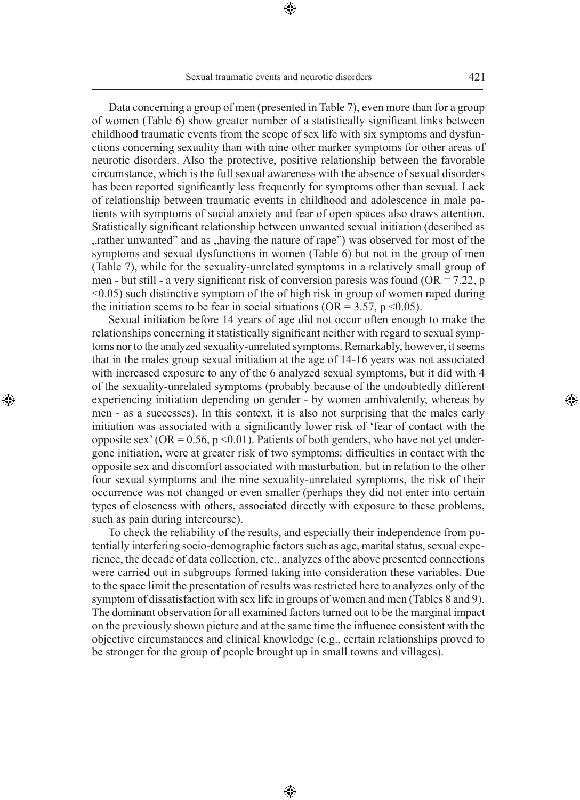Data concerning a group of men (presented in Table 7), even more than for a group of women (Table 6) show greater number of a statistically significant links between childhood traumatic events from the scope of sex life with six symptoms and dysfunctions concerning sexuality than with nine other marker symptoms for other areas of neurotic disorders. Also the protective, positive relationship between the favorable circumstance, which is the full sexual awareness with the absence of sexual disorders has been reported significantly less frequently for symptoms other than sexual. Lack of relationship between traumatic events in childhood and adolescence in male patients with symptoms of social anxiety and fear of open spaces also draws attention. Statistically significant relationship between unwanted sexual initiation (described as rather unwanted" and as "having the nature of rape") was observed for most of the symptoms and sexual dysfunctions in women (Table 6) but not in the group of men (Table 7), while for the sexuality-unrelated symptoms in a relatively small group of men - but still - a very significant risk of conversion paresis was found ( $OR = 7.22$ , p <0.05) such distinctive symptom of the of high risk in group of women raped during the initiation seems to be fear in social situations (OR =  $3.57$ , p < 0.05).

Sexual initiation before 14 years of age did not occur often enough to make the relationships concerning it statistically significant neither with regard to sexual symptoms nor to the analyzed sexuality-unrelated symptoms. Remarkably, however, it seems that in the males group sexual initiation at the age of 14-16 years was not associated with increased exposure to any of the 6 analyzed sexual symptoms, but it did with 4 of the sexuality-unrelated symptoms (probably because of the undoubtedly different experiencing initiation depending on gender - by women ambivalently, whereas by men - as a successes). In this context, it is also not surprising that the males early initiation was associated with a significantly lower risk of 'fear of contact with the opposite sex' (OR =  $0.56$ , p < 0.01). Patients of both genders, who have not yet undergone initiation, were at greater risk of two symptoms: difficulties in contact with the opposite sex and discomfort associated with masturbation, but in relation to the other four sexual symptoms and the nine sexuality-unrelated symptoms, the risk of their occurrence was not changed or even smaller (perhaps they did not enter into certain types of closeness with others, associated directly with exposure to these problems, such as pain during intercourse).

◈

To check the reliability of the results, and especially their independence from potentially interfering socio-demographic factors such as age, marital status, sexual experience, the decade of data collection, etc., analyzes of the above presented connections were carried out in subgroups formed taking into consideration these variables. Due to the space limit the presentation of results was restricted here to analyzes only of the symptom of dissatisfaction with sex life in groups of women and men (Tables 8 and 9). The dominant observation for all examined factors turned out to be the marginal impact on the previously shown picture and at the same time the influence consistent with the objective circumstances and clinical knowledge (e.g., certain relationships proved to be stronger for the group of people brought up in small towns and villages).

⊕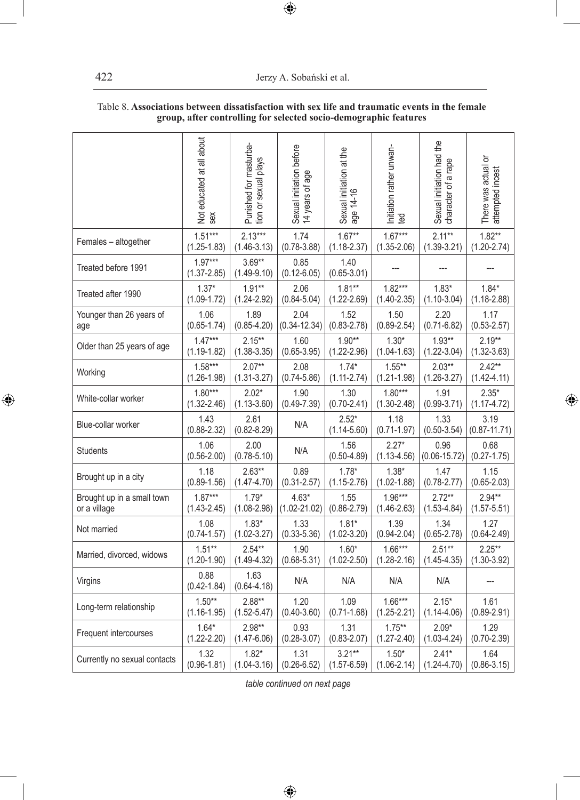422 Jerzy A. Sobański et al.

|                              | Not educated at all about<br>sex | Punished for masturba-<br>tion or sexual plays | Sexual initiation before<br>14 years of age | Sexual initiation at the<br>age 14-16 | Initiation rather unwan-<br>ted | Sexual initiation had the<br>character of a rape | There was actual or<br>attempted incest |
|------------------------------|----------------------------------|------------------------------------------------|---------------------------------------------|---------------------------------------|---------------------------------|--------------------------------------------------|-----------------------------------------|
| Females - altogether         | $1.51***$                        | $2.13***$                                      | 1.74                                        | $1.67**$                              | $1.67***$                       | $2.11***$                                        | $1.82**$                                |
|                              | $(1.25 - 1.83)$                  | $(1.46 - 3.13)$                                | $(0.78 - 3.88)$                             | $(1.18 - 2.37)$                       | $(1.35 - 2.06)$                 | $(1.39 - 3.21)$                                  | $(1.20 - 2.74)$                         |
| Treated before 1991          | $1.97***$<br>$(1.37 - 2.85)$     | $3.69**$<br>$(1.49 - 9.10)$                    | 0.85<br>$(0.12 - 6.05)$                     | 1.40<br>$(0.65 - 3.01)$               |                                 |                                                  |                                         |
| Treated after 1990           | $1.37*$                          | $1.91**$                                       | 2.06                                        | $1.81**$                              | $1.82***$                       | $1.83*$                                          | $1.84*$                                 |
|                              | $(1.09 - 1.72)$                  | $(1.24 - 2.92)$                                | $(0.84 - 5.04)$                             | $(1.22 - 2.69)$                       | $(1.40 - 2.35)$                 | $(1.10-3.04)$                                    | $(1.18 - 2.88)$                         |
| Younger than 26 years of     | 1.06                             | 1.89                                           | 2.04                                        | 1.52                                  | 1.50                            | 2.20                                             | 1.17                                    |
| age                          | $(0.65 - 1.74)$                  | $(0.85 - 4.20)$                                | $(0.34 - 12.34)$                            | $(0.83 - 2.78)$                       | $(0.89 - 2.54)$                 | $(0.71 - 6.82)$                                  | $(0.53 - 2.57)$                         |
| Older than 25 years of age   | $1.47***$                        | $2.15***$                                      | 1.60                                        | $1.90**$                              | $1.30*$                         | $1.93**$                                         | $2.19**$                                |
|                              | $(1.19 - 1.82)$                  | $(1.38 - 3.35)$                                | $(0.65 - 3.95)$                             | $(1.22 - 2.96)$                       | $(1.04 - 1.63)$                 | $(1.22 - 3.04)$                                  | $(1.32 - 3.63)$                         |
| Working                      | $1.58***$                        | $2.07**$                                       | 2.08                                        | $1.74*$                               | $1.55***$                       | $2.03**$                                         | $2.42**$                                |
|                              | $(1.26 - 1.98)$                  | $(1.31 - 3.27)$                                | $(0.74 - 5.86)$                             | $(1.11 - 2.74)$                       | $(1.21 - 1.98)$                 | $(1.26 - 3.27)$                                  | $(1.42 - 4.11)$                         |
| White-collar worker          | $1.80***$                        | $2.02*$                                        | 1.90                                        | 1.30                                  | $1.80***$                       | 1.91                                             | $2.35*$                                 |
|                              | $(1.32 - 2.46)$                  | $(1.13 - 3.60)$                                | $(0.49 - 7.39)$                             | $(0.70 - 2.41)$                       | $(1.30 - 2.48)$                 | $(0.99 - 3.71)$                                  | $(1.17 - 4.72)$                         |
| Blue-collar worker           | 1.43<br>$(0.88 - 2.32)$          | 2.61<br>$(0.82 - 8.29)$                        | N/A                                         | $2.52*$<br>$(1.14 - 5.60)$            | 1.18<br>$(0.71 - 1.97)$         | 1.33<br>$(0.50 - 3.54)$                          | 3.19<br>$(0.87 - 11.71)$                |
| <b>Students</b>              | 1.06<br>$(0.56 - 2.00)$          | 2.00<br>$(0.78 - 5.10)$                        | N/A                                         | 1.56<br>$(0.50 - 4.89)$               | $2.27*$<br>$(1.13 - 4.56)$      | 0.96<br>$(0.06 - 15.72)$                         | 0.68<br>$(0.27 - 1.75)$                 |
| Brought up in a city         | 1.18                             | $2.63**$                                       | 0.89                                        | $1.78*$                               | $1.38*$                         | 1.47                                             | 1.15                                    |
|                              | $(0.89 - 1.56)$                  | $(1.47 - 4.70)$                                | $(0.31 - 2.57)$                             | $(1.15 - 2.76)$                       | $(1.02 - 1.88)$                 | $(0.78 - 2.77)$                                  | $(0.65 - 2.03)$                         |
| Brought up in a small town   | $1.87***$                        | $1.79*$                                        | $4.63*$                                     | 1.55                                  | $1.96***$                       | $2.72**$                                         | $2.94**$                                |
| or a village                 | $(1.43 - 2.45)$                  | $(1.08 - 2.98)$                                | $(1.02 - 21.02)$                            | $(0.86 - 2.79)$                       | $(1.46 - 2.63)$                 | $(1.53 - 4.84)$                                  | $(1.57 - 5.51)$                         |
| Not married                  | 1.08                             | $1.83*$                                        | 1.33                                        | $1.81*$                               | 1.39                            | 1.34                                             | 1.27                                    |
|                              | $(0.74 - 1.57)$                  | $(1.02 - 3.27)$                                | $(0.33 - 5.36)$                             | $(1.02 - 3.20)$                       | $(0.94 - 2.04)$                 | $(0.65 - 2.78)$                                  | $(0.64 - 2.49)$                         |
| Married, divorced, widows    | $1.51**$                         | $2.54**$                                       | 1.90                                        | $1.60*$                               | $1.66***$                       | $2.51**$                                         | $2.25***$                               |
|                              | $(1.20 - 1.90)$                  | $(1.49 - 4.32)$                                | $(0.68 - 5.31)$                             | $(1.02 - 2.50)$                       | $(1.28 - 2.16)$                 | $(1.45 - 4.35)$                                  | $(1.30 - 3.92)$                         |
| Virgins                      | 0.88<br>$(0.42 - 1.84)$          | 1.63<br>$(0.64 - 4.18)$                        | N/A                                         | N/A                                   | N/A                             | N/A                                              |                                         |
| Long-term relationship       | $1.50**$                         | $2.88**$                                       | 1.20                                        | 1.09                                  | $1.66***$                       | $2.15*$                                          | 1.61                                    |
|                              | $(1.16 - 1.95)$                  | $(1.52 - 5.47)$                                | $(0.40 - 3.60)$                             | $(0.71 - 1.68)$                       | $(1.25 - 2.21)$                 | $(1.14 - 4.06)$                                  | $(0.89 - 2.91)$                         |
| Frequent intercourses        | $1.64*$                          | $2.98**$                                       | 0.93                                        | 1.31                                  | $1.75**$                        | $2.09*$                                          | 1.29                                    |
|                              | $(1.22 - 2.20)$                  | $(1.47 - 6.06)$                                | $(0.28 - 3.07)$                             | $(0.83 - 2.07)$                       | $(1.27 - 2.40)$                 | $(1.03 - 4.24)$                                  | $(0.70 - 2.39)$                         |
| Currently no sexual contacts | 1.32                             | $1.82*$                                        | 1.31                                        | $3.21***$                             | $1.50*$                         | $2.41*$                                          | 1.64                                    |
|                              | $(0.96 - 1.81)$                  | $(1.04 - 3.16)$                                | $(0.26 - 6.52)$                             | $(1.57 - 6.59)$                       | $(1.06 - 2.14)$                 | $(1.24 - 4.70)$                                  | $(0.86 - 3.15)$                         |

# Table 8. **Associations between dissatisfaction with sex life and traumatic events in the female group, after controlling for selected socio-demographic features**

 $\bigoplus$ 

*table continued on next page*

 $\bigoplus$ 

 $\bigoplus$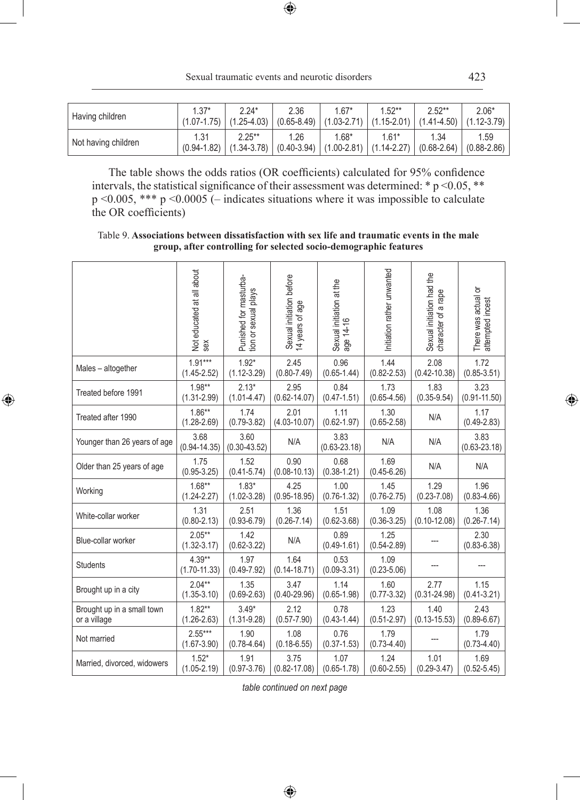$\bigoplus$ 

| Having children     | $1.37*$ | $2.24*$<br>$(1.07-1.75)$ $(1.25-4.03)$ $(0.65-8.49)$ $(1.03-2.71)$ $(1.15-2.01)$ $(1.41-4.50)$ $(1.12-3.79)$   | 2.36 | $1.67*$ | $1.52**$ | $2.52**$ | $2.06*$ |
|---------------------|---------|----------------------------------------------------------------------------------------------------------------|------|---------|----------|----------|---------|
| Not having children | 1.31    | $2.25***$<br>$(0.94-1.82)$ $(1.34-3.78)$ $(0.40-3.94)$ $(1.00-2.81)$ $(1.14-2.27)$ $(0.68-2.64)$ $(0.88-2.86)$ | 1.26 | $1.68*$ | $1.61*$  | 1.34     | 1.59    |

The table shows the odds ratios (OR coefficients) calculated for 95% confidence intervals, the statistical significance of their assessment was determined: \* p <0.05, \*\* p <0.005, \*\*\* p <0.0005 (– indicates situations where it was impossible to calculate the OR coefficients)

Table 9. **Associations between dissatisfaction with sex life and traumatic events in the male group, after controlling for selected socio-demographic features**

|                                            | Not educated at all about<br>sex | Punished for masturba-<br>tion or sexual plays | Sexual initiation before<br>14 years of age | Sexual initiation at the<br>age 14-16 | Initiation rather unwanted | Sexual initiation had the<br>character of a rape | There was actual or<br>attempted incest |
|--------------------------------------------|----------------------------------|------------------------------------------------|---------------------------------------------|---------------------------------------|----------------------------|--------------------------------------------------|-----------------------------------------|
| Males - altogether                         | $1.91***$<br>$(1.45 - 2.52)$     | $1.92*$<br>$(1.12 - 3.29)$                     | 2.45<br>$(0.80 - 7.49)$                     | 0.96<br>$(0.65 - 1.44)$               | 1.44<br>$(0.82 - 2.53)$    | 2.08<br>$(0.42 - 10.38)$                         | 1.72<br>$(0.85 - 3.51)$                 |
| Treated before 1991                        | $1.98**$<br>$(1.31 - 2.99)$      | $2.13*$<br>$(1.01 - 4.47)$                     | 2.95<br>$(0.62 - 14.07)$                    | 0.84<br>$(0.47 - 1.51)$               | 1.73<br>$(0.65 - 4.56)$    | 1.83<br>$(0.35 - 9.54)$                          | 3.23<br>$(0.91 - 11.50)$                |
| Treated after 1990                         | $1.86**$<br>$(1.28 - 2.69)$      | 1.74<br>$(0.79 - 3.82)$                        | 2.01<br>$(4.03 - 10.07)$                    | 1.11<br>$(0.62 - 1.97)$               | 1.30<br>$(0.65 - 2.58)$    | N/A                                              | 1.17<br>$(0.49 - 2.83)$                 |
| Younger than 26 years of age               | 3.68<br>$(0.94 - 14.35)$         | 3.60<br>$(0.30 - 43.52)$                       | N/A                                         | 3.83<br>$(0.63 - 23.18)$              | N/A                        | N/A                                              | 3.83<br>$(0.63 - 23.18)$                |
| Older than 25 years of age                 | 1.75<br>$(0.95 - 3.25)$          | 1.52<br>$(0.41 - 5.74)$                        | 0.90<br>$(0.08 - 10.13)$                    | 0.68<br>$(0.38 - 1.21)$               | 1.69<br>$(0.45 - 6.26)$    | N/A                                              | N/A                                     |
| Working                                    | $1.68**$<br>$(1.24 - 2.27)$      | $1.83*$<br>$(1.02 - 3.28)$                     | 4.25<br>$(0.95 - 18.95)$                    | 1.00<br>$(0.76 - 1.32)$               | 1.45<br>$(0.76 - 2.75)$    | 1.29<br>$(0.23 - 7.08)$                          | 1.96<br>$(0.83 - 4.66)$                 |
| White-collar worker                        | 1.31<br>$(0.80 - 2.13)$          | 2.51<br>$(0.93 - 6.79)$                        | 1.36<br>$(0.26 - 7.14)$                     | 1.51<br>$(0.62 - 3.68)$               | 1.09<br>$(0.36 - 3.25)$    | 1.08<br>$(0.10 - 12.08)$                         | 1.36<br>$(0.26 - 7.14)$                 |
| Blue-collar worker                         | $2.05**$<br>$(1.32 - 3.17)$      | 1.42<br>$(0.62 - 3.22)$                        | N/A                                         | 0.89<br>$(0.49 - 1.61)$               | 1.25<br>$(0.54 - 2.89)$    |                                                  | 2.30<br>$(0.83 - 6.38)$                 |
| <b>Students</b>                            | $4.39**$<br>$(1.70 - 11.33)$     | 1.97<br>$(0.49 - 7.92)$                        | 1.64<br>$(0.14 - 18.71)$                    | 0.53<br>$(0.09 - 3.31)$               | 1.09<br>$(0.23 - 5.06)$    |                                                  |                                         |
| Brought up in a city                       | $2.04**$<br>$(1.35 - 3.10)$      | 1.35<br>$(0.69 - 2.63)$                        | 3.47<br>$(0.40 - 29.96)$                    | 1.14<br>$(0.65 - 1.98)$               | 1.60<br>$(0.77 - 3.32)$    | 2.77<br>$(0.31 - 24.98)$                         | 1.15<br>$(0.41 - 3.21)$                 |
| Brought up in a small town<br>or a village | $1.82**$<br>$(1.26 - 2.63)$      | $3.49*$<br>$(1.31 - 9.28)$                     | 2.12<br>$(0.57 - 7.90)$                     | 0.78<br>$(0.43 - 1.44)$               | 1.23<br>$(0.51 - 2.97)$    | 1.40<br>$(0.13 - 15.53)$                         | 2.43<br>$(0.89 - 6.67)$                 |
| Not married                                | $2.55***$<br>$(1.67 - 3.90)$     | 1.90<br>$(0.78 - 4.64)$                        | 1.08<br>$(0.18 - 6.55)$                     | 0.76<br>$(0.37 - 1.53)$               | 1.79<br>$(0.73 - 4.40)$    |                                                  | 1.79<br>$(0.73 - 4.40)$                 |
| Married, divorced, widowers                | $1.52*$<br>$(1.05 - 2.19)$       | 1.91<br>$(0.97 - 3.76)$                        | 3.75<br>$(0.82 - 17.08)$                    | 1.07<br>$(0.65 - 1.78)$               | 1.24<br>$(0.60 - 2.55)$    | 1.01<br>$(0.29 - 3.47)$                          | 1.69<br>$(0.52 - 5.45)$                 |

 $\bigoplus$ 

*table continued on next page*

 $\bigoplus$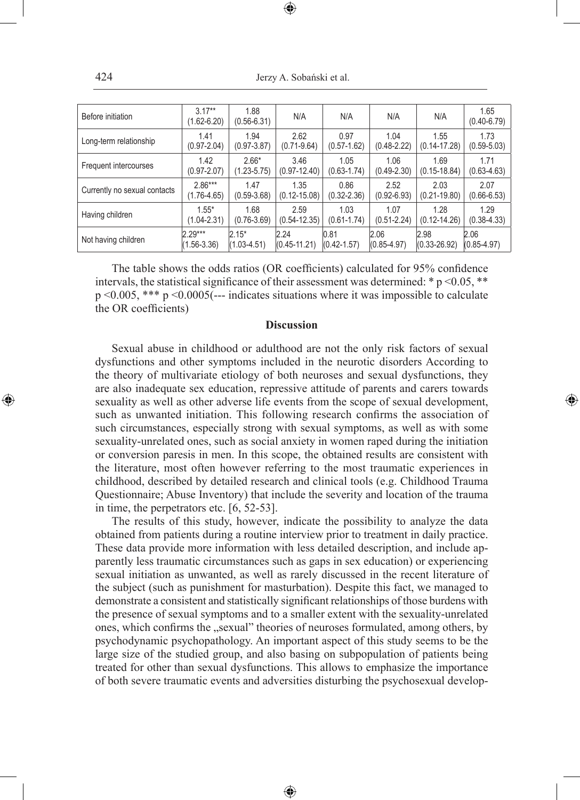424 Jerzy A. Sobański et al.

⊕

| Before initiation            | $3.17**$<br>$(1.62 - 6.20)$ | 1.88<br>$(0.56 - 6.31)$ | N/A              | N/A             | N/A             | N/A              | 1.65<br>$(0.40 - 6.79)$ |
|------------------------------|-----------------------------|-------------------------|------------------|-----------------|-----------------|------------------|-------------------------|
| Long-term relationship       | 1.41                        | 1.94                    | 2.62             | 0.97            | 1.04            | 1.55             | 1.73                    |
|                              | $(0.97 - 2.04)$             | $(0.97 - 3.87)$         | $(0.71 - 9.64)$  | $(0.57 - 1.62)$ | $(0.48 - 2.22)$ | $(0.14 - 17.28)$ | $(0.59 - 5.03)$         |
| Frequent intercourses        | 1.42                        | $2.66*$                 | 3.46             | 1.05            | 1.06            | 1.69             | 1.71                    |
|                              | $(0.97 - 2.07)$             | $(1.23 - 5.75)$         | $(0.97 - 12.40)$ | $(0.63 - 1.74)$ | $(0.49 - 2.30)$ | $(0.15 - 18.84)$ | $(0.63 - 4.63)$         |
| Currently no sexual contacts | $2.86***$                   | 1.47                    | 1.35             | 0.86            | 2.52            | 2.03             | 2.07                    |
|                              | $(1.76 - 4.65)$             | $(0.59 - 3.68)$         | $(0.12 - 15.08)$ | $(0.32 - 2.36)$ | $(0.92 - 6.93)$ | $(0.21 - 19.80)$ | $(0.66 - 6.53)$         |
| Having children              | $1.55*$                     | 1.68                    | 2.59             | 1.03            | 1.07            | 1.28             | 1.29                    |
|                              | $(1.04 - 2.31)$             | $(0.76 - 3.69)$         | $(0.54 - 12.35)$ | $(0.61 - 1.74)$ | $(0.51 - 2.24)$ | $(0.12 - 14.26)$ | $(0.38 - 4.33)$         |
| Not having children          | $2.29***$                   | $2.15*$                 | 2.24             | 0.81            | 2.06            | 2.98             | 2.06                    |
|                              | $(1.56 - 3.36)$             | $(1.03 - 4.51)$         | $(0.45 - 11.21)$ | $(0.42 - 1.57)$ | $(0.85 - 4.97)$ | $(0.33 - 26.92)$ | $(0.85 - 4.97)$         |

The table shows the odds ratios (OR coefficients) calculated for 95% confidence intervals, the statistical significance of their assessment was determined:  $* p \le 0.05$ ,  $**$ p <0.005, \*\*\* p <0.0005(--- indicates situations where it was impossible to calculate the OR coefficients)

#### **Discussion**

Sexual abuse in childhood or adulthood are not the only risk factors of sexual dysfunctions and other symptoms included in the neurotic disorders According to the theory of multivariate etiology of both neuroses and sexual dysfunctions, they are also inadequate sex education, repressive attitude of parents and carers towards sexuality as well as other adverse life events from the scope of sexual development, such as unwanted initiation. This following research confirms the association of such circumstances, especially strong with sexual symptoms, as well as with some sexuality-unrelated ones, such as social anxiety in women raped during the initiation or conversion paresis in men. In this scope, the obtained results are consistent with the literature, most often however referring to the most traumatic experiences in childhood, described by detailed research and clinical tools (e.g. Childhood Trauma Questionnaire; Abuse Inventory) that include the severity and location of the trauma in time, the perpetrators etc. [6, 52-53].

◈

The results of this study, however, indicate the possibility to analyze the data obtained from patients during a routine interview prior to treatment in daily practice. These data provide more information with less detailed description, and include apparently less traumatic circumstances such as gaps in sex education) or experiencing sexual initiation as unwanted, as well as rarely discussed in the recent literature of the subject (such as punishment for masturbation). Despite this fact, we managed to demonstrate a consistent and statistically significant relationships of those burdens with the presence of sexual symptoms and to a smaller extent with the sexuality-unrelated ones, which confirms the "sexual" theories of neuroses formulated, among others, by psychodynamic psychopathology. An important aspect of this study seems to be the large size of the studied group, and also basing on subpopulation of patients being treated for other than sexual dysfunctions. This allows to emphasize the importance of both severe traumatic events and adversities disturbing the psychosexual develop-

⊕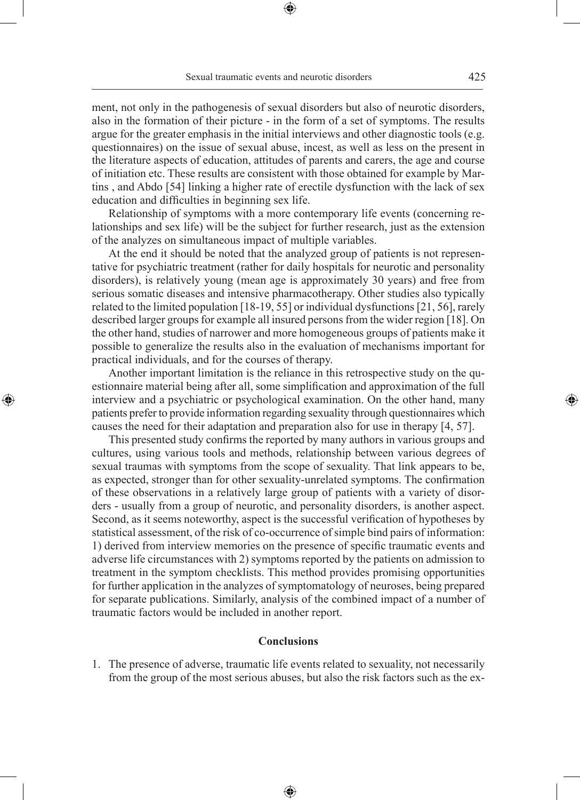ment, not only in the pathogenesis of sexual disorders but also of neurotic disorders, also in the formation of their picture - in the form of a set of symptoms. The results argue for the greater emphasis in the initial interviews and other diagnostic tools (e.g. questionnaires) on the issue of sexual abuse, incest, as well as less on the present in the literature aspects of education, attitudes of parents and carers, the age and course of initiation etc. These results are consistent with those obtained for example by Martins , and Abdo [54] linking a higher rate of erectile dysfunction with the lack of sex education and difficulties in beginning sex life.

Relationship of symptoms with a more contemporary life events (concerning relationships and sex life) will be the subject for further research, just as the extension of the analyzes on simultaneous impact of multiple variables.

At the end it should be noted that the analyzed group of patients is not representative for psychiatric treatment (rather for daily hospitals for neurotic and personality disorders), is relatively young (mean age is approximately 30 years) and free from serious somatic diseases and intensive pharmacotherapy. Other studies also typically related to the limited population [18-19, 55] or individual dysfunctions [21, 56], rarely described larger groups for example all insured persons from the wider region [18]. On the other hand, studies of narrower and more homogeneous groups of patients make it possible to generalize the results also in the evaluation of mechanisms important for practical individuals, and for the courses of therapy.

Another important limitation is the reliance in this retrospective study on the questionnaire material being after all, some simplification and approximation of the full interview and a psychiatric or psychological examination. On the other hand, many patients prefer to provide information regarding sexuality through questionnaires which causes the need for their adaptation and preparation also for use in therapy [4, 57].

◈

This presented study confirms the reported by many authors in various groups and cultures, using various tools and methods, relationship between various degrees of sexual traumas with symptoms from the scope of sexuality. That link appears to be, as expected, stronger than for other sexuality-unrelated symptoms. The confirmation of these observations in a relatively large group of patients with a variety of disorders - usually from a group of neurotic, and personality disorders, is another aspect. Second, as it seems noteworthy, aspect is the successful verification of hypotheses by statistical assessment, of the risk of co-occurrence of simple bind pairs of information: 1) derived from interview memories on the presence of specific traumatic events and adverse life circumstances with 2) symptoms reported by the patients on admission to treatment in the symptom checklists. This method provides promising opportunities for further application in the analyzes of symptomatology of neuroses, being prepared for separate publications. Similarly, analysis of the combined impact of a number of traumatic factors would be included in another report.

#### **Conclusions**

1. The presence of adverse, traumatic life events related to sexuality, not necessarily from the group of the most serious abuses, but also the risk factors such as the ex-

⊕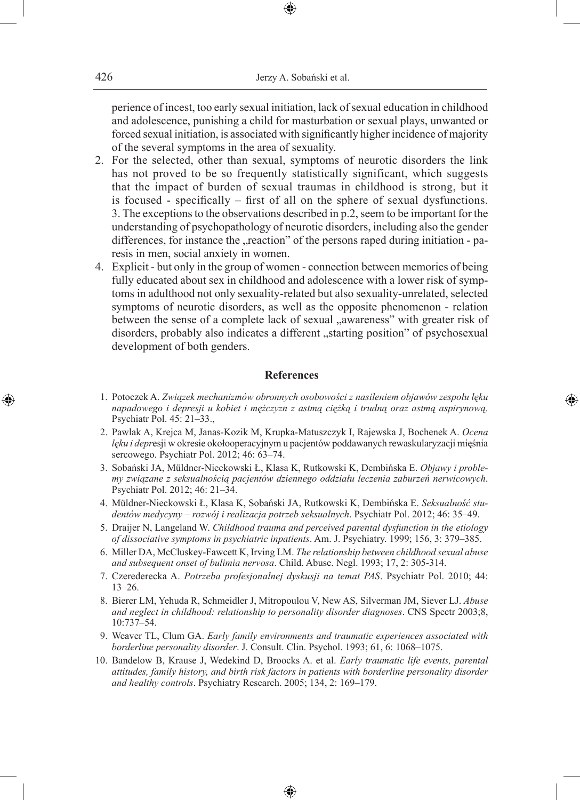perience of incest, too early sexual initiation, lack of sexual education in childhood and adolescence, punishing a child for masturbation or sexual plays, unwanted or forced sexual initiation, is associated with significantly higher incidence of majority of the several symptoms in the area of sexuality.

- 2. For the selected, other than sexual, symptoms of neurotic disorders the link has not proved to be so frequently statistically significant, which suggests that the impact of burden of sexual traumas in childhood is strong, but it is focused - specifically – first of all on the sphere of sexual dysfunctions. 3. The exceptions to the observations described in p.2, seem to be important for the understanding of psychopathology of neurotic disorders, including also the gender differences, for instance the "reaction" of the persons raped during initiation - paresis in men, social anxiety in women.
- 4. Explicit but only in the group of women connection between memories of being fully educated about sex in childhood and adolescence with a lower risk of symptoms in adulthood not only sexuality-related but also sexuality-unrelated, selected symptoms of neurotic disorders, as well as the opposite phenomenon - relation between the sense of a complete lack of sexual "awareness" with greater risk of disorders, probably also indicates a different "starting position" of psychosexual development of both genders.

#### **References**

 1. Potoczek A. *Związek mechanizmów obronnych osobowości z nasileniem objawów zespołu lęku napadowego i depresji u kobiet i mężczyzn z astmą ciężką i trudną oraz astmą aspirynową.* Psychiatr Pol. 45: 21–33.,

◈

- 2. Pawlak A, Krejca M, Janas-Kozik M, Krupka-Matuszczyk I, Rajewska J, Bochenek A. *Ocena lęku i depr*esji w okresie okołooperacyjnym u pacjentów poddawanych rewaskularyzacji mięśnia sercowego. Psychiatr Pol. 2012; 46: 63–74.
- 3. Sobański JA, Müldner-Nieckowski Ł, Klasa K, Rutkowski K, Dembińska E. *Objawy i problemy związane z seksualnością pacjentów dziennego oddziału leczenia zaburzeń nerwicowych*. Psychiatr Pol. 2012; 46: 21–34.
- 4. Müldner-Nieckowski Ł, Klasa K, Sobański JA, Rutkowski K, Dembińska E. *Seksualność studentów medycyny – rozwój i realizacja potrzeb seksualnych*. Psychiatr Pol. 2012; 46: 35–49.
- 5. Draijer N, Langeland W. *Childhood trauma and perceived parental dysfunction in the etiology of dissociative symptoms in psychiatric inpatients*. Am. J. Psychiatry. 1999; 156, 3: 379–385.
- 6. Miller DA, McCluskey-Fawcett K, Irving LM. *The relationship between childhood sexual abuse and subsequent onset of bulimia nervosa*. Child. Abuse. Negl. 1993; 17, 2: 305-314.
- 7. Czerederecka A. *Potrzeba profesjonalnej dyskusji na temat PAS*. Psychiatr Pol. 2010; 44: 13–26.
- 8. Bierer LM, Yehuda R, Schmeidler J, Mitropoulou V, New AS, Silverman JM, Siever LJ. *Abuse and neglect in childhood: relationship to personality disorder diagnoses*. CNS Spectr 2003;8, 10:737*–*54.
- 9. Weaver TL, Clum GA. *Early family environments and traumatic experiences associated with borderline personality disorder*. J. Consult. Clin. Psychol. 1993; 61, 6: 1068–1075.
- 10. Bandelow B, Krause J, Wedekind D, Broocks A. et al. *Early traumatic life events, parental attitudes, family history, and birth risk factors in patients with borderline personality disorder and healthy controls*. Psychiatry Research. 2005; 134, 2: 169–179.

♠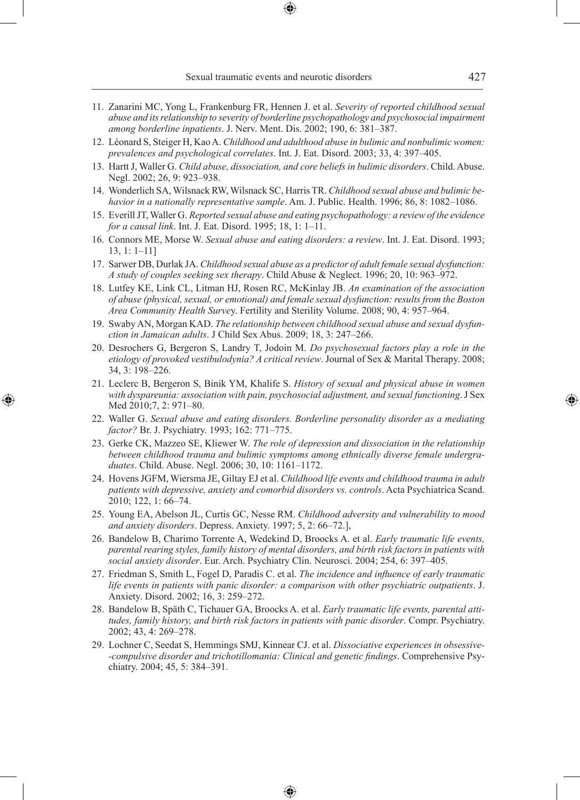Sexual traumatic events and neurotic disorders 427

- 11. Zanarini MC, Yong L, Frankenburg FR, Hennen J. et al. *Severity of reported childhood sexual abuse and its relationship to severity of borderline psychopathology and psychosocial impairment among borderline inpatients*. J. Nerv. Ment. Dis. 2002; 190, 6: 381–387.
- 12. Léonard S, Steiger H, Kao A. *Childhood and adulthood abuse in bulimic and nonbulimic women: prevalences and psychological correlates*. Int. J. Eat. Disord. 2003; 33, 4: 397–405.
- 13. Hartt J, Waller G. *Child abuse, dissociation, and core beliefs in bulimic disorders*. Child. Abuse. Negl. 2002; 26, 9: 923–938.
- 14. Wonderlich SA, Wilsnack RW, Wilsnack SC, Harris TR. *Childhood sexual abuse and bulimic behavior in a nationally representative sample*. Am. J. Public. Health. 1996; 86, 8: 1082–1086.
- 15. Everill JT, Waller G. *Reported sexual abuse and eating psychopathology: a review of the evidence for a causal link*. Int. J. Eat. Disord. 1995; 18, 1: 1–11.
- 16. Connors ME, Morse W. *Sexual abuse and eating disorders: a review*. Int. J. Eat. Disord. 1993; 13, 1: 1–11]
- 17. Sarwer DB, Durlak JA. *Childhood sexual abuse as a predictor of adult female sexual dysfunction: A study of couples seeking sex therapy*. Child Abuse & Neglect. 1996; 20, 10: 963–972.
- 18. Lutfey KE, Link CL, Litman HJ, Rosen RC, McKinlay JB. *An examination of the association of abuse (physical, sexual, or emotional) and female sexual dysfunction: results from the Boston Area Community Health Surve*y. Fertility and Sterility Volume. 2008; 90, 4: 957–964.
- 19. Swaby AN, Morgan KAD. *The relationship between childhood sexual abuse and sexual dysfunction in Jamaican adults*. J Child Sex Abus. 2009; 18, 3: 247–266.
- 20. Desrochers G, Bergeron S, Landry T, Jodoin M. *Do psychosexual factors play a role in the etiology of provoked vestibulodynia? A critical review*. Journal of Sex & Marital Therapy. 2008; 34, 3: 198–226.
- 21. Leclerc B, Bergeron S, Binik YM, Khalife S. *History of sexual and physical abuse in women with dyspareunia: association with pain, psychosocial adjustment, and sexual functioning*. J Sex Med 2010;7, 2: 971–80.

◈

- 22. Waller G. *Sexual abuse and eating disorders. Borderline personality disorder as a mediating factor?* Br. J. Psychiatry. 1993; 162: 771–775.
- 23. Gerke CK, Mazzeo SE, Kliewer W. *The role of depression and dissociation in the relationship between childhood trauma and bulimic symptoms among ethnically diverse female undergraduates*. Child. Abuse. Negl. 2006; 30, 10: 1161–1172.
- 24. Hovens JGFM, Wiersma JE, Giltay EJ et al. *Childhood life events and childhood trauma in adult patients with depressive, anxiety and comorbid disorders vs. controls*. Acta Psychiatrica Scand. 2010; 122, 1: 66–74.
- 25. Young EA, Abelson JL, Curtis GC, Nesse RM. *Childhood adversity and vulnerability to mood and anxiety disorders*. Depress. Anxiety. 1997; 5, 2: 66–72.],
- 26. Bandelow B, Charimo Torrente A, Wedekind D, Broocks A. et al. *Early traumatic life events, parental rearing styles, family history of mental disorders, and birth risk factors in patients with social anxiety disorder*. Eur. Arch. Psychiatry Clin. Neurosci. 2004; 254, 6: 397–405.
- 27. Friedman S, Smith L, Fogel D, Paradis C. et al. *The incidence and influence of early traumatic life events in patients with panic disorder: a comparison with other psychiatric outpatients*. J. Anxiety. Disord. 2002; 16, 3: 259–272.
- 28. Bandelow B, Späth C, Tichauer GA, Broocks A. et al. *Early traumatic life events, parental attitudes, family history, and birth risk factors in patients with panic disorder*. Compr. Psychiatry. 2002; 43, 4: 269–278.
- 29. Lochner C, Seedat S, Hemmings SMJ, Kinnear CJ. et al. *Dissociative experiences in obsessive- -compulsive disorder and trichotillomania: Clinical and genetic findings*. Comprehensive Psychiatry. 2004; 45, 5: 384–391.

♠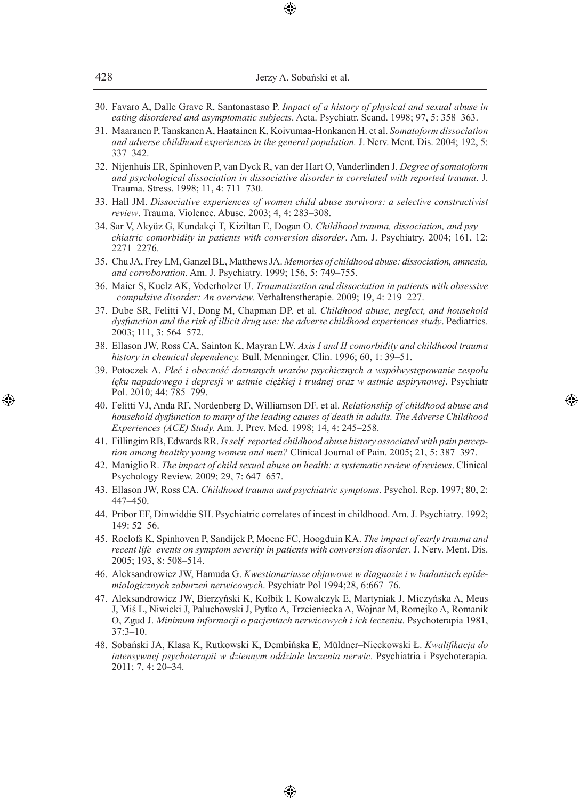- 30. Favaro A, Dalle Grave R, Santonastaso P. *Impact of a history of physical and sexual abuse in eating disordered and asymptomatic subjects*. Acta. Psychiatr. Scand. 1998; 97, 5: 358–363.
- 31. Maaranen P, Tanskanen A, Haatainen K, Koivumaa-Honkanen H. et al. *Somatoform dissociation and adverse childhood experiences in the general population.* J. Nerv. Ment. Dis. 2004; 192, 5: 337–342.
- 32. Nijenhuis ER, Spinhoven P, van Dyck R, van der Hart O, Vanderlinden J. *Degree of somatoform and psychological dissociation in dissociative disorder is correlated with reported trauma*. J. Trauma. Stress. 1998; 11, 4: 711–730.
- 33. Hall JM. *Dissociative experiences of women child abuse survivors: a selective constructivist review*. Trauma. Violence. Abuse. 2003; 4, 4: 283–308.
- 34. Sar V, Akyüz G, Kundakçi T, Kiziltan E, Dogan O. *Childhood trauma, dissociation, and psy chiatric comorbidity in patients with conversion disorder*. Am. J. Psychiatry. 2004; 161, 12: 2271–2276.
- 35. Chu JA, Frey LM, Ganzel BL, Matthews JA. *Memories of childhood abuse: dissociation, amnesia, and corroboration*. Am. J. Psychiatry. 1999; 156, 5: 749–755.
- 36. Maier S, Kuelz AK, Voderholzer U. *Traumatization and dissociation in patients with obsessive –compulsive disorder: An overview*. Verhaltenstherapie. 2009; 19, 4: 219–227.
- 37. Dube SR, Felitti VJ, Dong M, Chapman DP. et al. *Childhood abuse, neglect, and household dysfunction and the risk of illicit drug use: the adverse childhood experiences study*. Pediatrics. 2003; 111, 3: 564–572.
- 38. Ellason JW, Ross CA, Sainton K, Mayran LW. *Axis I and II comorbidity and childhood trauma history in chemical dependency.* Bull. Menninger. Clin. 1996; 60, 1: 39–51.
- 39. Potoczek A. *Płeć i obecność doznanych urazów psychicznych a współwystępowanie zespołu lęku napadowego i depresji w astmie ciężkiej i trudnej oraz w astmie aspirynowej*. Psychiatr Pol. 2010; 44: 785–799.
- 40. Felitti VJ, Anda RF, Nordenberg D, Williamson DF. et al. *Relationship of childhood abuse and household dysfunction to many of the leading causes of death in adults. The Adverse Childhood Experiences (ACE) Study.* Am. J. Prev. Med. 1998; 14, 4: 245–258.

◈

- 41. Fillingim RB, Edwards RR. *Is self–reported childhood abuse history associated with pain perception among healthy young women and men?* Clinical Journal of Pain. 2005; 21, 5: 387–397.
- 42. Maniglio R. *The impact of child sexual abuse on health: a systematic review of reviews*. Clinical Psychology Review. 2009; 29, 7: 647–657.
- 43. Ellason JW, Ross CA. *Childhood trauma and psychiatric symptoms*. Psychol. Rep. 1997; 80, 2: 447–450.
- 44. Pribor EF, Dinwiddie SH. Psychiatric correlates of incest in childhood. Am. J. Psychiatry. 1992; 149: 52–56.
- 45. Roelofs K, Spinhoven P, Sandijck P, Moene FC, Hoogduin KA. *The impact of early trauma and recent life–events on symptom severity in patients with conversion disorder*. J. Nerv. Ment. Dis. 2005; 193, 8: 508–514.
- 46. Aleksandrowicz JW, Hamuda G. *Kwestionariusze objawowe w diagnozie i w badaniach epidemiologicznych zaburzeń nerwicowych*. Psychiatr Pol 1994;28, 6:667–76.
- 47. Aleksandrowicz JW, Bierzyński K, Kołbik I, Kowalczyk E, Martyniak J, Miczyńska A, Meus J, Miś L, Niwicki J, Paluchowski J, Pytko A, Trzcieniecka A, Wojnar M, Romejko A, Romanik O, Zgud J. *Minimum informacji o pacjentach nerwicowych i ich leczeniu*. Psychoterapia 1981, 37:3–10.
- 48. Sobański JA, Klasa K, Rutkowski K, Dembińska E, Müldner–Nieckowski Ł. *Kwalifikacja do intensywnej psychoterapii w dziennym oddziale leczenia nerwic*. Psychiatria i Psychoterapia. 2011; 7, 4: 20–34.

♠

⊕